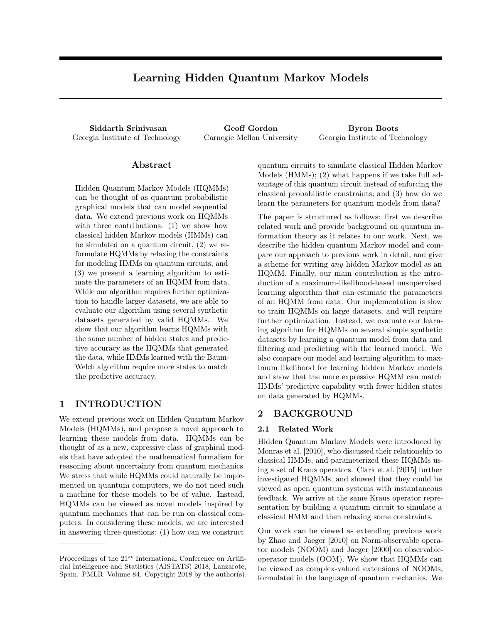# Learning Hidden Quantum Markov Models

<span id="page-0-0"></span>Siddarth Srinivasan Geoff Gordon Byron Boots Georgia Institute of Technology Carnegie Mellon University Georgia Institute of Technology

### Abstract

Hidden Quantum Markov Models (HQMMs) can be thought of as quantum probabilistic graphical models that can model sequential data. We extend previous work on HQMMs with three contributions: (1) we show how classical hidden Markov models (HMMs) can be simulated on a quantum circuit, (2) we reformulate HQMMs by relaxing the constraints for modeling HMMs on quantum circuits, and (3) we present a learning algorithm to estimate the parameters of an HQMM from data. While our algorithm requires further optimization to handle larger datasets, we are able to evaluate our algorithm using several synthetic datasets generated by valid HQMMs. We show that our algorithm learns HQMMs with the same number of hidden states and predictive accuracy as the HQMMs that generated the data, while HMMs learned with the Baum-Welch algorithm require more states to match the predictive accuracy.

# 1 INTRODUCTION

We extend previous work on Hidden Quantum Markov Models (HQMMs), and propose a novel approach to learning these models from data. HQMMs can be thought of as a new, expressive class of graphical models that have adopted the mathematical formalism for reasoning about uncertainty from quantum mechanics. We stress that while HQMMs could naturally be implemented on quantum computers, we do not need such a machine for these models to be of value. Instead, HQMMs can be viewed as novel models inspired by quantum mechanics that can be run on classical computers. In considering these models, we are interested in answering three questions: (1) how can we construct

quantum circuits to simulate classical Hidden Markov Models (HMMs); (2) what happens if we take full advantage of this quantum circuit instead of enforcing the classical probabilistic constraints; and (3) how do we learn the parameters for quantum models from data?

The paper is structured as follows: first we describe related work and provide background on quantum information theory as it relates to our work. Next, we describe the hidden quantum Markov model and compare our approach to previous work in detail, and give a scheme for writing *any* hidden Markov model as an HQMM. Finally, our main contribution is the introduction of a maximum-likelihood-based unsupervised learning algorithm that can estimate the parameters of an HQMM from data. Our implementation is slow to train HQMMs on large datasets, and will require further optimization. Instead, we evaluate our learning algorithm for HQMMs on several simple synthetic datasets by learning a quantum model from data and filtering and predicting with the learned model. We also compare our model and learning algorithm to maximum likelihood for learning hidden Markov models and show that the more expressive HQMM can match HMMs' predictive capability with fewer hidden states on data generated by HQMMs.

#### 2 BACKGROUND

#### 2.1 Related Work

Hidden Quantum Markov Models were introduced by [Monras et al.](#page-8-0) [\[2010\]](#page-8-0), who discussed their relationship to classical HMMs, and parameterized these HQMMs using a set of Kraus operators. [Clark et al.](#page-8-1) [\[2015\]](#page-8-1) further investigated HQMMs, and showed that they could be viewed as open quantum systems with instantaneous feedback. We arrive at the same Kraus operator representation by building a quantum circuit to simulate a classical HMM and then relaxing some constraints.

Our work can be viewed as extending previous work by [Zhao and Jaeger](#page-8-2) [\[2010\]](#page-8-2) on Norm-observable operator models (NOOM) and [Jaeger](#page-8-3) [\[2000\]](#page-8-3) on observableoperator models (OOM). We show that HQMMs can be viewed as complex-valued extensions of NOOMs, formulated in the language of quantum mechanics. We

Proceedings of the 21*st* International Conference on Artificial Intelligence and Statistics (AISTATS) 2018, Lanzarote, Spain. PMLR: Volume 84. Copyright 2018 by the author(s).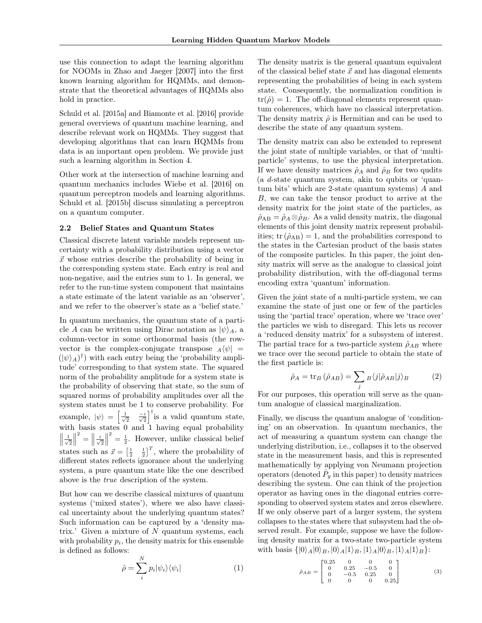use this connection to adapt the learning algorithm for NOOMs in [Zhao and Jaeger](#page-8-4) [\[2007\]](#page-8-4) into the first known learning algorithm for HQMMs, and demonstrate that the theoretical advantages of HQMMs also hold in practice.

[Schuld et al.](#page-8-5) [\[2015a\]](#page-8-5) and [Biamonte et al.](#page-8-6) [\[2016\]](#page-8-6) provide general overviews of quantum machine learning, and describe relevant work on HQMMs. They suggest that developing algorithms that can learn HQMMs from data is an important open problem. We provide just such a learning algorithm in Section [4.](#page-4-0)

Other work at the intersection of machine learning and quantum mechanics includes [Wiebe et al.](#page-8-7) [\[2016\]](#page-8-7) on quantum perceptron models and learning algorithms. [Schuld et al.](#page-8-8) [\[2015b\]](#page-8-8) discuss simulating a perceptron on a quantum computer.

#### 2.2 Belief States and Quantum States

Classical discrete latent variable models represent uncertainty with a probability distribution using a vector  $\vec{x}$  whose entries describe the probability of being in the corresponding system state. Each entry is real and non-negative, and the entries sum to 1. In general, we refer to the run-time system component that maintains a state estimate of the latent variable as an 'observer', and we refer to the observer's state as a 'belief state.'

In quantum mechanics, the quantum state of a particle *A* can be written using Dirac notation as  $|\psi\rangle_A$ , a column-vector in some orthonormal basis (the rowvector is the complex-conjugate transpose  $_A\langle\psi|$  =  $(|\psi\rangle_A)^\dagger$  with each entry being the 'probability amplitude' corresponding to that system state. The squared norm of the probability amplitude for a system state is the probability of observing that state, so the sum of squared norms of probability amplitudes over all the system states must be 1 to conserve probability. For example,  $|\psi\rangle = \begin{bmatrix} \frac{1}{\sqrt{2}} & \frac{-i}{\sqrt{2}} \end{bmatrix}^{\dagger}$  is a valid quantum state, with basis states 0 and 1 having equal probability  $\frac{1}{\sqrt{2}}$  $\begin{array}{c} \hline \end{array}$ <sup>2</sup> =  $\left\| \frac{i}{\sqrt{2}} \right\|$  $\begin{array}{c} \hline \end{array}$  $\sigma^2 = \frac{1}{2}$ . However, unlike classical belief states such as  $\vec{x} = \begin{bmatrix} \frac{1}{2} & \frac{1}{2} \end{bmatrix}^T$ , where the probability of different states reflects ignorance about the underlying system, a pure quantum state like the one described above is the *true* description of the system.

But how can we describe classical mixtures of quantum systems ('mixed states'), where we also have classical uncertainty about the underlying quantum states? Such information can be captured by a 'density matrix.' Given a mixture of *N* quantum systems, each with probability  $p_i$ , the density matrix for this ensemble is defined as follows:

$$
\hat{\rho} = \sum_{i}^{N} p_i |\psi_i\rangle\langle\psi_i| \tag{1}
$$

The density matrix is the general quantum equivalent of the classical belief state  $\vec{x}$  and has diagonal elements representing the probabilities of being in each system state. Consequently, the normalization condition is  $tr(\hat{\rho})=1$ . The off-diagonal elements represent quantum coherences, which have no classical interpretation. The density matrix  $\hat{\rho}$  is Hermitian and can be used to describe the state of any quantum system.

The density matrix can also be extended to represent the joint state of multiple variables, or that of 'multiparticle' systems, to use the physical interpretation. If we have density matrices  $\hat{\rho}_A$  and  $\hat{\rho}_B$  for two qudits (a *d*-state quantum system, akin to qubits or 'quantum bits' which are 2-state quantum systems) *A* and *B*, we can take the tensor product to arrive at the density matrix for the joint state of the particles, as  $\hat{\rho}_{AB} = \hat{\rho}_A \otimes \hat{\rho}_B$ . As a valid density matrix, the diagonal elements of this joint density matrix represent probabilities;  $tr(\hat{\rho}_{AB}) = 1$ , and the probabilities correspond to the states in the Cartesian product of the basis states of the composite particles. In this paper, the joint density matrix will serve as the analogue to classical joint probability distribution, with the off-diagonal terms encoding extra 'quantum' information.

Given the joint state of a multi-particle system, we can examine the state of just one or few of the particles using the 'partial trace' operation, where we 'trace over' the particles we wish to disregard. This lets us recover a 'reduced density matrix' for a subsystem of interest. The partial trace for a two-particle system  $\hat{\rho}_{AB}$  where we trace over the second particle to obtain the state of the first particle is:

$$
\hat{\rho}_A = \text{tr}_B \left( \hat{\rho}_{AB} \right) = \sum_j B \langle j | \hat{\rho}_{AB} | j \rangle_B \tag{2}
$$

For our purposes, this operation will serve as the quantum analogue of classical marginalization.

Finally, we discuss the quantum analogue of 'conditioning' on an observation. In quantum mechanics, the act of measuring a quantum system can change the underlying distribution, i.e., collapses it to the observed state in the measurement basis, and this is represented mathematically by applying von Neumann projection operators (denoted  $\hat{P}_y$  in this paper) to density matrices describing the system. One can think of the projection operator as having ones in the diagonal entries corresponding to observed system states and zeros elsewhere. If we only observe part of a larger system, the system collapses to the states where that subsystem had the observed result. For example, suppose we have the following density matrix for a two-state two-particle system with basis  $\{|0\rangle_A|0\rangle_B, |0\rangle_A|1\rangle_B, |1\rangle_A|0\rangle_B, |1\rangle_A|1\rangle_B\}$ :

$$
\hat{\rho}_{AB} = \begin{bmatrix} 0.25 & 0 & 0 & 0 \\ 0 & 0.25 & -0.5 & 0 \\ 0 & -0.5 & 0.25 & 0 \\ 0 & 0 & 0 & 0.25 \end{bmatrix}
$$
 (3)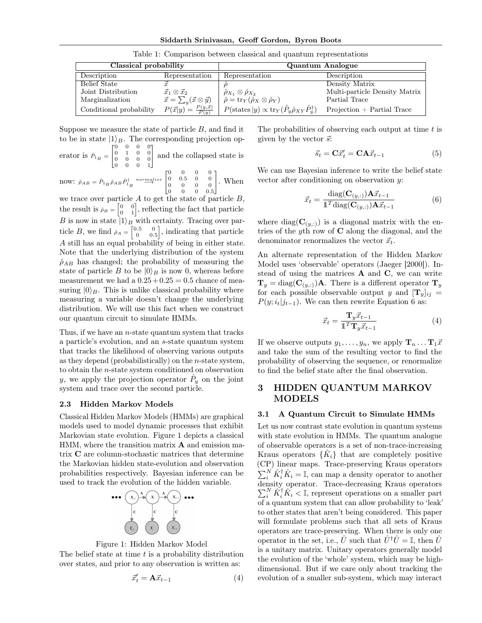Siddarth Srinivasan, Geoff Gordon, Byron Boots

| Classical probability   |                                                | Quantum Analogue                                                                         |                               |  |
|-------------------------|------------------------------------------------|------------------------------------------------------------------------------------------|-------------------------------|--|
| Description             | Representation                                 | Representation                                                                           | Description                   |  |
| Belief State            |                                                |                                                                                          | Density Matrix                |  |
| Joint Distribution      | $\vec{x}_1 \otimes \vec{x}_2$                  | $\hat{\rho}_{X_1} \otimes \hat{\rho}_{X_2}$                                              | Multi-particle Density Matrix |  |
| Marginalization         | $\vec{x} = \sum_{y} (\vec{x} \otimes \vec{y})$ | $\hat{\rho} = \operatorname{tr}_Y(\hat{\rho}_X \otimes \hat{\rho}_Y)$                    | Partial Trace                 |  |
| Conditional probability | $P(\vec{x} y) = \frac{P(y,\vec{x})}{P(y)}$     | $P(\text{states } y) \propto \text{tr}_Y(\hat{P}_y \hat{\rho}_{XY} \hat{P}_y^{\dagger})$ | $Projection + Partial Trace$  |  |

Table 1: Comparison between classical and quantum representations

Suppose we measure the state of particle *B*, and find it to be in state  $|1\rangle_B$ . The corresponding projection op- $\begin{bmatrix} 0 & 0 & 0 & 0 \end{bmatrix}$ 

erator is 
$$
\hat{P}_{1_B} = \begin{bmatrix} 0 & 1 & 0 & 0 \\ 0 & 0 & 0 & 0 \\ 0 & 0 & 0 & 1 \end{bmatrix}
$$
 and the collapsed state is

now: 
$$
\hat{\rho}_{AB} = \hat{P}_{1B} \hat{\rho}_{AB} \hat{P}_{1B}^{\dagger} \stackrel{normalize}{\longrightarrow} \begin{bmatrix} 0 & 0 & 0 & 0 \\ 0 & 0.5 & 0 & 0 \\ 0 & 0 & 0 & 0 \\ 0 & 0 & 0 & 0.5 \end{bmatrix}
$$
. When

we trace over particle *A* to get the state of particle *B*, the result is  $\rho_B = \begin{bmatrix} 0 & 0 \\ 0 & 1 \end{bmatrix}$ , reflecting the fact that particle *B* is now in state  $|1\rangle_B$  with certainty. Tracing over particle *B*, we find  $\hat{\rho}_A = \begin{bmatrix} 0.5 & 0 \\ 0 & 0.5 \end{bmatrix}$  , indicating that particle *A* still has an equal probability of being in either state. Note that the underlying distribution of the system  $\hat{\rho}_{AB}$  has changed; the probability of measuring the state of particle *B* to be  $|0\rangle_B$  is now 0, whereas before measurement we had a  $0.25 + 0.25 = 0.5$  chance of measuring  $|0\rangle_B$ . This is unlike classical probability where measuring a variable doesn't change the underlying distribution. We will use this fact when we construct our quantum circuit to simulate HMMs.

Thus, if we have an *n*-state quantum system that tracks a particle's evolution, and an *s*-state quantum system that tracks the likelihood of observing various outputs as they depend (probabilistically) on the *n*-state system, to obtain the *n*-state system conditioned on observation *y*, we apply the projection operator  $\hat{P}_y$  on the joint system and trace over the second particle.

#### <span id="page-2-2"></span>2.3 Hidden Markov Models

Classical Hidden Markov Models (HMMs) are graphical models used to model dynamic processes that exhibit Markovian state evolution. Figure [1](#page-2-0) depicts a classical HMM, where the transition matrix  $A$  and emission matrix C are column-stochastic matrices that determine the Markovian hidden state-evolution and observation probabilities respectively. Bayesian inference can be used to track the evolution of the hidden variable.

<span id="page-2-0"></span>

Figure 1: Hidden Markov Model

The belief state at time *t* is a probability distribution over states, and prior to any observation is written as:

$$
\vec{x}'_t = \mathbf{A}\vec{x}_{t-1} \tag{4}
$$

The probabilities of observing each output at time *t* is given by the vector  $\vec{s}$ :

<span id="page-2-1"></span>
$$
\vec{s}_t = \mathbf{C}\vec{x}'_t = \mathbf{C}\mathbf{A}\vec{x}_{t-1} \tag{5}
$$

We can use Bayesian inference to write the belief state vector after conditioning on observation *y*:

$$
\vec{x}_t = \frac{\text{diag}(\mathbf{C}_{(y,:)})\mathbf{A}\vec{x}_{t-1}}{\mathbb{1}^T\text{diag}(\mathbf{C}_{(y,:)})\mathbf{A}\vec{x}_{t-1}}\tag{6}
$$

where diag( $\mathbf{C}_{(y,:)}$ ) is a diagonal matrix with the entries of the *y*th row of C along the diagonal, and the denominator renormalizes the vector  $\vec{x}_t$ .

An alternate representation of the Hidden Markov Model uses 'observable' operators [\(Jaeger](#page-8-3) [\[2000\]](#page-8-3)). Instead of using the matrices  $A$  and  $C$ , we can write  $\mathbf{T}_y = \text{diag}(\mathbf{C}_{(y,:)})\mathbf{A}$ . There is a different operator  $\mathbf{T}_y$ for each possible observable output *y* and  $[\mathbf{T}_y]_{ij}$  =  $P(y; i_t|j_{t-1})$ . We can then rewrite Equation [6](#page-2-1) as:

$$
\vec{x}_t = \frac{\mathbf{T}_y \vec{x}_{t-1}}{\mathbb{1}^T \mathbf{T}_y \vec{x}_{t-1}} \tag{4}
$$

If we observe outputs  $y_1, \ldots, y_n$ , we apply  $\mathbf{T}_n \ldots \mathbf{T}_1 \vec{x}$ and take the sum of the resulting vector to find the probability of observing the sequence, or renormalize to find the belief state after the final observation.

# 3 HIDDEN QUANTUM MARKOV MODELS

#### 3.1 A Quantum Circuit to Simulate HMMs

Let us now contrast state evolution in quantum systems with state evolution in HMMs. The quantum analogue of observable operators is a set of non-trace-increasing Kraus operators  $\{K_i\}$  that are completely positive (CP) linear maps. Trace-preserving Kraus operators  $\sum_{i}^{N} \hat{K}_{i}^{\dagger} \hat{K}_{i} = \mathbb{I}$ , can map a density operator to another density operator. Trace-decreasing Kraus operators  $\sum_{i}^{N} \hat{K}_{i}^{\dagger} \hat{K}_{i} < \mathbb{I}$ , represent operations on a smaller part of a quantum system that can allow probability to 'leak' to other states that aren't being considered. This paper will formulate problems such that all sets of Kraus operators are trace-preserving. When there is only one operator in the set, i.e.,  $\hat{U}$  such that  $\hat{U}^{\dagger} \hat{U} = \mathbb{I}$ , then  $\hat{U}$ is a unitary matrix. Unitary operators generally model the evolution of the 'whole' system, which may be highdimensional. But if we care only about tracking the evolution of a smaller sub-system, which may interact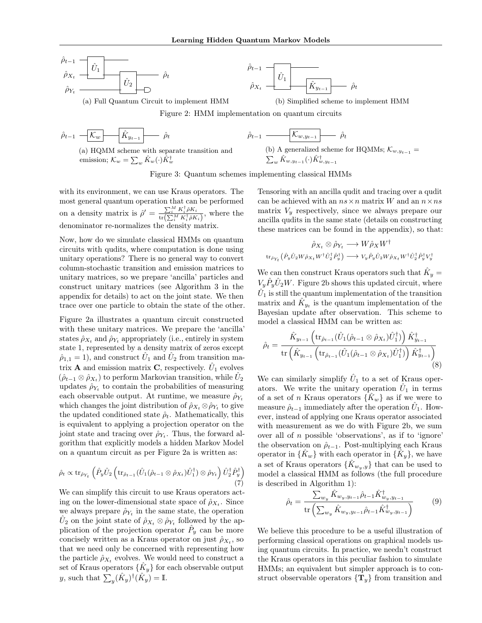<span id="page-3-0"></span>
$$
\hat{\rho}_{t-1} \underbrace{-\hat{U}_1 \underbrace{\hat{U}_1 \underbrace{\hat{U}_2 \underbrace{\hat{U}_2 \cdots \hat{U}_t}} \hat{\rho}_t}_{\hat{\rho}_Y \underbrace{\hat{U}_2 \cdots \hat{U}_1 \cdots \hat{U}_t}_{\text{max}}}
$$

(a) Full Quantum Circuit to implement HMM



(b) Simplified scheme to implement HMM

Figure 2: HMM implementation on quantum circuits

$$
\hat{\rho}_{t-1} - \boxed{\mathcal{K}_w - \hat{K}_{y_{t-1}} - \hat{\rho}_t}
$$

(a) HQMM scheme with separate transition and emission;  $\mathcal{K}_w = \sum_w \hat{K}_w(\cdot) \hat{K}_w^{\dagger}$ 

$$
\hat{\rho}_{t-1} \xrightarrow{\qquad} \boxed{\mathcal{K}_{w,y_{t-1}} \qquad \hat{\rho}_t}
$$
\n(b) A generalized scheme for HOM

(b) A generalized scheme for HQMMs;  $\mathcal{K}_{w,y_{t-1}} =$  $w \hat{K}_{w,y_{t-1}}(\cdot) \hat{K}_{w,y_{t-1}}^{\dagger}$ 

Figure 3: Quantum schemes implementing classical HMMs

with its environment, we can use Kraus operators. The most general quantum operation that can be performed on a density matrix is  $\hat{\rho}' = \frac{\sum_{i=1}^{M} K_i^{\dagger} \hat{\rho} K_i}{\sum_{i=1}^{M} K_i^{\dagger} \hat{\rho} K_i^{\dagger}}$  $\frac{\sum_i \mathbf{R}_i \rho \mathbf{R}_i}{\text{tr}(\sum_i^M K_i^{\dagger} \rho K_i)},$  where the denominator re-normalizes the density matrix.

Now, how do we simulate classical HMMs on quantum circuits with qudits, where computation is done using unitary operations? There is no general way to convert column-stochastic transition and emission matrices to unitary matrices, so we prepare 'ancilla' particles and construct unitary matrices (see Algorithm [3](#page-0-0) in the appendix for details) to act on the joint state. We then trace over one particle to obtain the state of the other.

Figure [2a](#page-3-0) illustrates a quantum circuit constructed with these unitary matrices. We prepare the 'ancilla' states  $\hat{\rho}_{X_t}$  and  $\hat{\rho}_{Y_t}$  appropriately (i.e., entirely in system state 1, represented by a density matrix of zeros except  $\hat{\rho}_{1,1} = 1$ , and construct  $U_1$  and  $U_2$  from transition matrix **A** and emission matrix **C**, respectively.  $\hat{U}_1$  evolves  $(\hat{\rho}_{t-1} \otimes \hat{\rho}_{X_t})$  to perform Markovian transition, while  $U_2$ updates  $\rho_{Y_t}$  to contain the probabilities of measuring each observable output. At runtime, we measure  $\hat{\rho}_{Y_t}$ which changes the joint distribution of  $\hat{\rho}_{X_t} \otimes \hat{\rho}_{Y_t}$  to give the updated conditioned state  $\hat{\rho}_t$ . Mathematically, this is equivalent to applying a projection operator on the joint state and tracing over  $\hat{\rho}_{Y_t}$ . Thus, the forward algorithm that explicitly models a hidden Markov Model on a quantum circuit as per Figure [2a](#page-3-0) is written as:

$$
\hat{\rho}_t \propto \text{tr}_{\hat{\rho}_{Y_t}}\left(\hat{P}_y \hat{U}_2 \left(\text{tr}_{\hat{\rho}_{t-1}}(\hat{U}_1(\hat{\rho}_{t-1} \otimes \hat{\rho}_{X_t})\hat{U}_1^{\dagger}) \otimes \hat{\rho}_{Y_t}\right)\hat{U}_2^{\dagger}\hat{P}_y^{\dagger}\right) (7)
$$

We can simplify this circuit to use Kraus operators acting on the lower-dimensional state space of  $\hat{\rho}_{X_t}$ . Since we always prepare  $\rho_{Y_t}$  in the same state, the operation  $U_2$  on the joint state of  $\hat{\rho}_{X_t} \otimes \hat{\rho}_{Y_t}$  followed by the application of the projection operator  $P_y$  can be more concisely written as a Kraus operator on just  $\hat{\rho}_{X_t}$ , so that we need only be concerned with representing how the particle  $\hat{\rho}_{X_t}$  evolves. We would need to construct a set of Kraus operators  $\{\hat{K}_y\}$  for each observable output  $y$ , such that  $\sum_{y}(\hat{K}_y)^{\dagger}(\hat{K}_y) = \mathbb{I}$ .

Tensoring with an ancilla qudit and tracing over a qudit can be achieved with an  $ns \times n$  matrix *W* and an  $n \times ns$ matrix  $V_y$  respectively, since we always prepare our ancilla qudits in the same state (details on constructing these matrices can be found in the appendix), so that:

$$
\hat{\rho}_{X_t} \otimes \hat{\rho}_{Y_t} \longrightarrow W \hat{\rho}_X W^{\dagger}
$$
  
\n
$$
\text{tr}_{\hat{\rho}_{Y_t}}(\hat{P}_y \hat{U}_2 W \hat{\rho}_{X_t} W^{\dagger} \hat{U}_2^{\dagger} \hat{P}_y^{\dagger}) \longrightarrow V_y \hat{P}_y \hat{U}_2 W \hat{\rho}_{X_t} W^{\dagger} \hat{U}_2^{\dagger} \hat{P}_y^{\dagger} V_y^{\dagger}
$$

We can then construct Kraus operators such that  $K_y =$  $V_y \hat{P}_y \hat{U}_2 W$ . Figure [2b](#page-3-0) shows this updated circuit, where  $U_1$  is still the quantum implementation of the transition matrix and  $K_{y_t}$  is the quantum implementation of the Bayesian update after observation. This scheme to model a classical HMM can be written as:

$$
\hat{\rho}_t = \frac{\hat{K}_{y_{t-1}} \left( \text{tr}_{\hat{\rho}_{t-1}} (\hat{U}_1(\hat{\rho}_{t-1} \otimes \hat{\rho}_{X_t}) \hat{U}_1^{\dagger}) \right) \hat{K}_{y_{t-1}}^{\dagger}}{\text{tr} \left( \hat{K}_{y_{t-1}} \left( \text{tr}_{\hat{\rho}_{t-1}} (\hat{U}_1(\hat{\rho}_{t-1} \otimes \hat{\rho}_{X_t}) \hat{U}_1^{\dagger}) \right) \hat{K}_{y_{t-1}}^{\dagger} \right)}
$$
(8)

We can similarly simplify  $\hat{U}_1$  to a set of Kraus operators. We write the unitary operation  $\hat{U}_1$  in terms of a set of *n* Kraus operators  $\{K_w\}$  as if we were to measure  $\hat{\rho}_{t-1}$  immediately after the operation  $U_1$ . However, instead of applying one Kraus operator associated with measurement as we do with Figure [2b,](#page-3-0) we sum over all of *n* possible 'observations', as if to 'ignore' the observation on  $\hat{\rho}_{t-1}$ . Post-multiplying each Kraus operator in  $\{K_w\}$  with each operator in  $\{K_v\}$ , we have a set of Kraus operators  $\{\hat{K}_{w_y,y}\}\$  that can be used to model a classical HMM as follows (the full procedure is described in Algorithm [1\)](#page-4-1):

<span id="page-3-1"></span>
$$
\hat{\rho}_t = \frac{\sum_{w_y} \hat{K}_{w_y, y_{t-1}} \hat{\rho}_{t-1} \hat{K}_{w_y, y_{t-1}}^{\dagger}}{\text{tr}\left(\sum_{w_y} \hat{K}_{w_y, y_{t-1}} \hat{\rho}_{t-1} \hat{K}_{w_y, y_{t-1}}^{\dagger}\right)} \tag{9}
$$

We believe this procedure to be a useful illustration of performing classical operations on graphical models using quantum circuits. In practice, we needn't construct the Kraus operators in this peculiar fashion to simulate HMMs; an equivalent but simpler approach is to construct observable operators  $\{T_y\}$  from transition and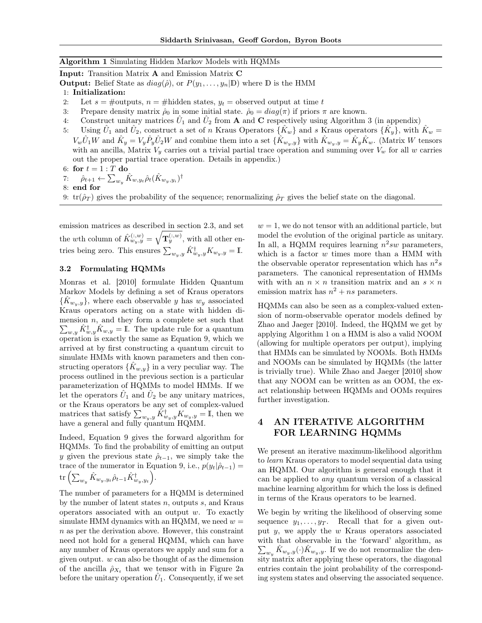#### <span id="page-4-1"></span>Algorithm 1 Simulating Hidden Markov Models with HQMMs

Input: Transition Matrix A and Emission Matrix C

**Output:** Belief State as  $diag(\hat{\rho})$ , or  $P(y_1, \ldots, y_n | \mathbb{D})$  where  $\mathbb D$  is the HMM

- 1: Initialization:
- 2: Let  $s = \text{\#outputs}, n = \text{\#hidden states}, y_t = \text{observed output at time } t$
- 3: Prepare density matrix  $\hat{\rho}_0$  in some initial state.  $\hat{\rho}_0 = diag(\pi)$  if priors  $\pi$  are known.
- 4: Construct unitary matrices  $\hat{U}_1$  and  $\hat{U}_2$  from **A** and **C** respectively using Algorithm [3](#page-0-0) (in appendix)
- 5: Using  $U_1$  and  $U_2$ , construct a set of *n* Kraus Operators  $\{K_w\}$  and *s* Kraus operators  $\{K_y\}$ , with  $K_w =$  $V_w \hat{U}_1 W$  and  $\hat{K}_y = V_y \hat{P}_y \hat{U}_2 W$  and combine them into a set  $\{\hat{K}_{w_y,y}\}\$  with  $\hat{K}_{w_y,y} = \hat{K}_y \hat{K}_w$ . (Matrix W tensors with an ancilla, Matrix  $V_y$  carries out a trivial partial trace operation and summing over  $V_w$  for all  $w$  carries out the proper partial trace operation. Details in appendix.)
- 6: for  $t = 1 : T$  do
- 7:  $\hat{\rho}_{t+1} \leftarrow \sum_{w_y} \hat{K}_{w,y_t} \hat{\rho}_t (\hat{K}_{w_y,y_i})^{\dagger}$
- 8: end for
- 9:  $tr(\hat{\rho}_T)$  gives the probability of the sequence; renormalizing  $\hat{\rho}_T$  gives the belief state on the diagonal.

emission matrices as described in section [2.3,](#page-2-2) and set the *w*th column of  $\hat{K}_{w_y,y}^{(:,w)} = \sqrt{\mathbf{T}_y^{(:,w)}}$ , with all other entries being zero. This ensures  $\sum_{w_y,y} \hat{K}^{\dagger}_{w_y,y} K_{w_y,y} = \mathbb{I}$ .

#### 3.2 Formulating HQMMs

[Monras et al.](#page-8-0) [\[2010\]](#page-8-0) formulate Hidden Quantum Markov Models by defining a set of Kraus operators  ${K_{w_y,y}}$ , where each observable *y* has  $w_y$  associated Kraus operators acting on a state with hidden dimension *n*, and they form a complete set such that  $\sum_{w,y} \hat{K}_{w,y}^{\dagger} \hat{K}_{w,y} = \mathbb{I}$ . The update rule for a quantum operation is exactly the same as Equation [9,](#page-3-1) which we arrived at by first constructing a quantum circuit to simulate HMMs with known parameters and then constructing operators  $\{K_{w,y}\}\$ in a very peculiar way. The process outlined in the previous section is a particular parameterization of HQMMs to model HMMs. If we let the operators  $U_1$  and  $U_2$  be any unitary matrices, or the Kraus operators be any set of complex-valued matrices that satisfy  $\sum_{w_y,y} \hat{K}^{\dagger}_{w_y,y} K_{w_y,y} = \mathbb{I}$ , then we have a general and fully quantum HQMM.

Indeed, Equation [9](#page-3-1) gives the forward algorithm for HQMMs. To find the probability of emitting an output *y* given the previous state  $\hat{\rho}_{t-1}$ , we simply take the trace of the numerator in Equation [9,](#page-3-1) i.e.,  $p(y_t|\hat{\rho}_{t-1}) =$  $\mathrm{tr} \left( \sum_{w_y} \hat{K}_{w_y, y_t} \hat{\rho}_{t-1} \hat{K}_{w_y, y_t}^{\dagger} \right).$ 

The number of parameters for a HQMM is determined by the number of latent states *n*, outputs *s*, and Kraus operators associated with an output *w*. To exactly simulate HMM dynamics with an HQMM, we need  $w =$ *n* as per the derivation above. However, this constraint need not hold for a general HQMM, which can have any number of Kraus operators we apply and sum for a given output. *w* can also be thought of as the dimension of the ancilla  $\hat{\rho}_{X_t}$  that we tensor with in Figure [2a](#page-3-0) before the unitary operation  $U_1$ . Consequently, if we set

 $w = 1$ , we do not tensor with an additional particle, but model the evolution of the original particle as unitary. In all, a HQMM requires learning  $n^2sw$  parameters, which is a factor *w* times more than a HMM with the observable operator representation which has  $n^2s$ parameters. The canonical representation of HMMs with with an  $n \times n$  transition matrix and an  $s \times n$ emission matrix has  $n^2 + ns$  parameters.

HQMMs can also be seen as a complex-valued extension of norm-observable operator models defined by [Zhao and Jaeger](#page-8-2) [\[2010\]](#page-8-2). Indeed, the HQMM we get by applying Algorithm [1](#page-4-1) on a HMM is also a valid NOOM (allowing for multiple operators per output), implying that HMMs can be simulated by NOOMs. Both HMMs and NOOMs can be simulated by HQMMs (the latter is trivially true). While [Zhao and Jaeger](#page-8-2) [\[2010\]](#page-8-2) show that any NOOM can be written as an OOM, the exact relationship between HQMMs and OOMs requires further investigation.

# <span id="page-4-0"></span>4 AN ITERATIVE ALGORITHM FOR LEARNING HQMMs

We present an iterative maximum-likelihood algorithm to *learn* Kraus operators to model sequential data using an HQMM. Our algorithm is general enough that it can be applied to *any* quantum version of a classical machine learning algorithm for which the loss is defined in terms of the Kraus operators to be learned.

We begin by writing the likelihood of observing some sequence  $y_1, \ldots, y_T$ . Recall that for a given output *y*, we apply the *w* Kraus operators associated with that observable in the 'forward' algorithm, as  $\sum_{w_y} \hat{K}_{w_y,y}(\cdot) \hat{K}_{w_y,y}.$  If we do not renormalize the density matrix after applying these operators, the diagonal entries contain the joint probability of the corresponding system states and observing the associated sequence.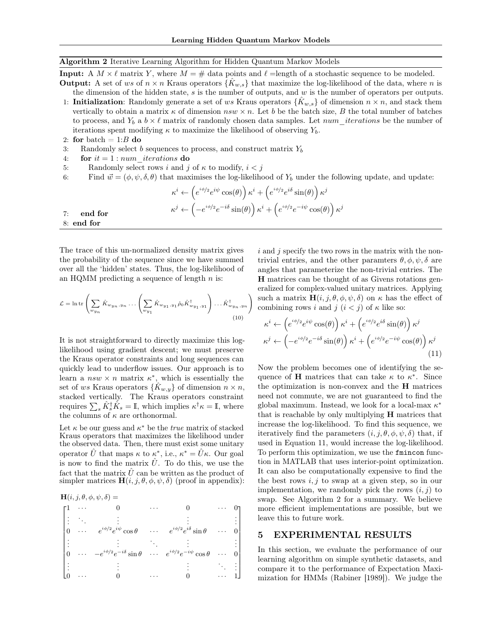#### <span id="page-5-1"></span>Algorithm 2 Iterative Learning Algorithm for Hidden Quantum Markov Models

**Input:** A  $M \times \ell$  matrix *Y*, where  $M = \#$  data points and  $\ell$  =length of a stochastic sequence to be modeled.

- **Output:** A set of *ws* of  $n \times n$  Kraus operators  $\{\hat{K}_{w,s}\}\$ that maximize the log-likelihood of the data, where *n* is the dimension of the hidden state, *s* is the number of outputs, and *w* is the number of operators per outputs. 1: **Initialization**: Randomly generate a set of ws Kraus operators  $\{K_{w,s}\}\$  of dimension  $n \times n$ , and stack them vertically to obtain a matrix  $\kappa$  of dimension  $nsw \times n$ . Let *b* be the batch size, *B* the total number of batches to process, and  $Y_b$  a  $b \times \ell$  matrix of randomly chosen data samples. Let  $num\_iterations$  be the number of iterations spent modifying  $\kappa$  to maximize the likelihood of observing  $Y_b$ .
- 2: for batch  $= 1:B$  do

 $7:$  end

- 3: Randomly select *b* sequences to process, and construct matrix *Y<sup>b</sup>*
- 4: **for**  $it = 1: num$  *iterations* do
- 5: Randomly select rows *i* and *j* of  $\kappa$  to modify,  $i < j$
- 6: Find  $\vec{w} = (\phi, \psi, \delta, \theta)$  that maximises the log-likelihood of  $Y_b$  under the following update, and update:

7: end for  
\n
$$
\kappa^{i} \leftarrow \left(e^{i\phi/2}e^{i\psi}\cos(\theta)\right)\kappa^{i} + \left(e^{i\phi/2}e^{i\delta}\sin(\theta)\right)\kappa^{j}
$$
\n
$$
\kappa^{j} \leftarrow \left(-e^{i\phi/2}e^{-i\delta}\sin(\theta)\right)\kappa^{i} + \left(e^{i\phi/2}e^{-i\psi}\cos(\theta)\right)\kappa^{j}
$$
\n8: end for

The trace of this un-normalized density matrix gives the probability of the sequence since we have summed over all the 'hidden' states. Thus, the log-likelihood of an HQMM predicting a sequence of length *n* is:

$$
\mathcal{L} = \ln \operatorname{tr} \left( \sum_{w_{y_n}} \hat{K}_{w_{y_n}, y_n} \dots \left( \sum_{w_{y_1}} \hat{K}_{w_{y_1}, y_1} \hat{\rho}_0 \hat{K}_{w_{y_1}, y_1}^\dagger \right) \dots \hat{K}_{w_{y_n}, y_n}^\dagger \right)
$$
\n(10)

It is not straightforward to directly maximize this loglikelihood using gradient descent; we must preserve the Kraus operator constraints and long sequences can quickly lead to underflow issues. Our approach is to learn a  $nsw \times n$  matrix  $\kappa^*$ , which is essentially the set of *ws* Kraus operators  $\{K_{w,y}\}\$  of dimension  $n \times n$ , stacked vertically. The Kraus operators constraint requires  $\sum_{s} \hat{K}_{s}^{\dagger} \hat{K}_{s} = \mathbb{I}$ , which implies  $\kappa^{\dagger} \kappa = \mathbb{I}$ , where the columns of  $\kappa$  are orthonormal.

Let  $\kappa$  be our guess and  $\kappa^*$  be the *true* matrix of stacked Kraus operators that maximizes the likelihood under the observed data. Then, there must exist some unitary operator  $\hat{U}$  that maps  $\kappa$  to  $\kappa^*$ , i.e.,  $\kappa^* = \hat{U}\kappa$ . Our goal is now to find the matrix  $\hat{U}$ . To do this, we use the fact that the matrix  $\hat{U}$  can be written as the product of simpler matrices  $H(i, j, \theta, \phi, \psi, \delta)$  (proof in appendix):

$$
\mathbf{H}(i, j, \theta, \phi, \psi, \delta) =
$$

$$
\begin{bmatrix}\n1 & \cdots & 0 & \cdots & 0 & \cdots & 0 \\
\vdots & \ddots & \vdots & & \vdots & \vdots \\
0 & \cdots & e^{i\phi/2}e^{i\psi}\cos\theta & \cdots & e^{i\phi/2}e^{i\delta}\sin\theta & \cdots & 0 \\
\vdots & & \vdots & \ddots & \vdots & \vdots \\
0 & \cdots & -e^{i\phi/2}e^{-i\delta}\sin\theta & \cdots & e^{i\phi/2}e^{-i\psi}\cos\theta & \cdots & 0 \\
\vdots & & \vdots & & \vdots & \ddots & \vdots \\
0 & \cdots & 0 & \cdots & 0 & \cdots & 1\n\end{bmatrix}
$$

*i* and *j* specify the two rows in the matrix with the nontrivial entries, and the other paramters  $\theta$ ,  $\phi$ ,  $\psi$ ,  $\delta$  are angles that parameterize the non-trivial entries. The H matrices can be thought of as Givens rotations generalized for complex-valued unitary matrices. Applying such a matrix  $H(i, j, \theta, \phi, \psi, \delta)$  on  $\kappa$  has the effect of combining rows *i* and *j*  $(i < j)$  of  $\kappa$  like so:

<span id="page-5-0"></span>
$$
\kappa^{i} \leftarrow \left(e^{i\phi/2}e^{i\psi}\cos(\theta)\right)\kappa^{i} + \left(e^{i\phi/2}e^{i\delta}\sin(\theta)\right)\kappa^{j}
$$

$$
\kappa^{j} \leftarrow \left(-e^{i\phi/2}e^{-i\delta}\sin(\theta)\right)\kappa^{i} + \left(e^{i\phi/2}e^{-i\psi}\cos(\theta)\right)\kappa^{j}
$$
(11)

Now the problem becomes one of identifying the sequence of **H** matrices that can take  $\kappa$  to  $\kappa^*$ . Since the optimization is non-convex and the H matrices need not commute, we are not guaranteed to find the global maximum. Instead, we look for a local-max  $\kappa^*$ that is reachable by only multiplying H matrices that increase the log-likelihood. To find this sequence, we iteratively find the parameters  $(i, j, \theta, \phi, \psi, \delta)$  that, if used in Equation [11,](#page-5-0) would increase the log-likelihood. To perform this optimization, we use the fmincon function in MATLAB that uses interior-point optimization. It can also be computationally expensive to find the the best rows  $i, j$  to swap at a given step, so in our implementation, we randomly pick the rows  $(i, j)$  to swap. See Algorithm [2](#page-5-1) for a summary. We believe more efficient implementations are possible, but we leave this to future work.

#### 5 EXPERIMENTAL RESULTS

In this section, we evaluate the performance of our learning algorithm on simple synthetic datasets, and compare it to the performance of Expectation Maximization for HMMs [\(Rabiner](#page-8-9) [\[1989\]](#page-8-9)). We judge the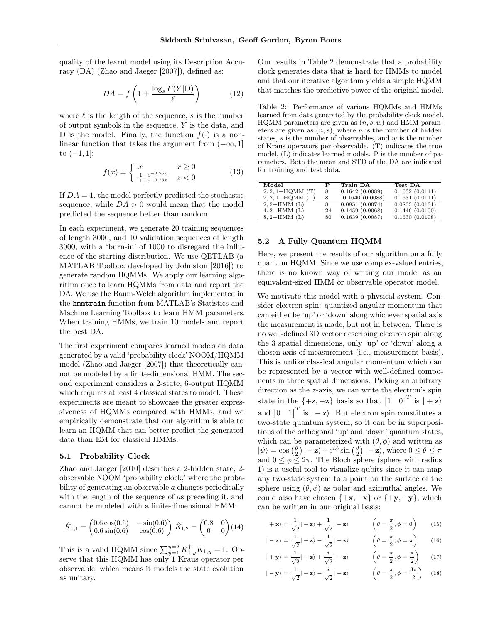quality of the learnt model using its Description Accuracy (DA) [\(Zhao and Jaeger](#page-8-4) [\[2007\]](#page-8-4)), defined as:

$$
DA = f\left(1 + \frac{\log_s P(Y|\mathbb{D})}{\ell}\right) \tag{12}
$$

where  $\ell$  is the length of the sequence,  $s$  is the number of output symbols in the sequence, *Y* is the data, and D is the model. Finally, the function  $f(\cdot)$  is a nonlinear function that takes the argument from  $(-\infty, 1]$ to  $(-1, 1]$ :

$$
f(x) = \begin{cases} x & x \ge 0\\ \frac{1 - e^{-0.25x}}{1 + e^{-0.25x}} & x < 0 \end{cases}
$$
 (13)

If  $DA = 1$ , the model perfectly predicted the stochastic sequence, while  $DA > 0$  would mean that the model predicted the sequence better than random.

In each experiment, we generate 20 training sequences of length 3000, and 10 validation sequences of length 3000, with a 'burn-in' of 1000 to disregard the influence of the starting distribution. We use QETLAB (a MATLAB Toolbox developed by [Johnston](#page-8-10) [\[2016\]](#page-8-10)) to generate random HQMMs. We apply our learning algorithm once to learn HQMMs from data and report the DA. We use the Baum-Welch algorithm implemented in the hmmtrain function from MATLAB's Statistics and Machine Learning Toolbox to learn HMM parameters. When training HMMs, we train 10 models and report the best DA.

The first experiment compares learned models on data generated by a valid 'probability clock' NOOM/HQMM model [\(Zhao and Jaeger](#page-8-4) [\[2007\]](#page-8-4)) that theoretically cannot be modeled by a finite-dimensional HMM. The second experiment considers a 2-state, 6-output HQMM which requires at least 4 classical states to model. These experiments are meant to showcase the greater expressiveness of HQMMs compared with HMMs, and we empirically demonstrate that our algorithm is able to learn an HQMM that can better predict the generated data than EM for classical HMMs.

#### 5.1 Probability Clock

[Zhao and Jaeger](#page-8-2) [\[2010\]](#page-8-2) describes a 2-hidden state, 2 observable NOOM 'probability clock,' where the probability of generating an observable *a* changes periodically with the length of the sequence of *a*s preceding it, and cannot be modeled with a finite-dimensional HMM:

$$
\hat{K}_{1,1} = \begin{pmatrix} 0.6 \cos(0.6) & -\sin(0.6) \\ 0.6 \sin(0.6) & \cos(0.6) \end{pmatrix} \hat{K}_{1,2} = \begin{pmatrix} 0.8 & 0 \\ 0 & 0 \end{pmatrix} (14)
$$

This is a valid HQMM since  $\sum_{y=1}^{y=2} K_{1,y}^{\dagger} K_{1,y} = \mathbb{I}$ . Observe that this HQMM has only 1 Kraus operator per observable, which means it models the state evolution as unitary.

Our results in Table [2](#page-6-0) demonstrate that a probability clock generates data that is hard for HMMs to model and that our iterative algorithm yields a simple HQMM that matches the predictive power of the original model.

<span id="page-6-0"></span>Table 2: Performance of various HQMMs and HMMs learned from data generated by the probability clock model. HQMM parameters are given as (*n, s, w*) and HMM parameters are given as  $(n, s)$ , where *n* is the number of hidden states, *s* is the number of observables, and *w* is the number of Kraus operators per observable. (T) indicates the true model, (L) indicates learned models. P is the number of parameters. Both the mean and STD of the DA are indicated for training and test data.

| Model                | Р  | Train DA       | Test DA        |
|----------------------|----|----------------|----------------|
| $2, 2, 1 - HQMM$ (T) | 8  | 0.1642(0.0089) | 0.1632(0.0111) |
| $2, 2, 1-HQMM$ (L)   | 8  | 0.1640(0.0088) | 0.1631(0.0111) |
| $2, 2-HMM(L)$        | 8  | 0.0851(0.0074) | 0.0833(0.0131) |
| $4, 2-HMM$ (L)       | 24 | 0.1459(0.0068) | 0.1446(0.0100) |
| $8, 2-HMM(L)$        | 80 | 0.1639(0.0087) | 0.1630(0.0108) |

## 5.2 A Fully Quantum HQMM

Here, we present the results of our algorithm on a fully quantum HQMM. Since we use complex-valued entries, there is no known way of writing our model as an equivalent-sized HMM or observable operator model.

We motivate this model with a physical system. Consider electron spin: quantized angular momentum that can either be 'up' or 'down' along whichever spatial axis the measurement is made, but not in between. There is no well-defined 3D vector describing electron spin along the 3 spatial dimensions, only 'up' or 'down' along a chosen axis of measurement (i.e., measurement basis). This is unlike classical angular momentum which can be represented by a vector with well-defined components in three spatial dimensions. Picking an arbitrary direction as the *z*-axis, we can write the electron's spin state in the  $\{-z, -z\}$  basis so that  $\begin{bmatrix} 1 & 0 \end{bmatrix}^T$  is  $|+z\rangle$ and  $\begin{bmatrix} 0 & 1 \end{bmatrix}^T$  is  $|-\mathbf{z}\rangle$ . But electron spin constitutes a two-state quantum system, so it can be in superpositions of the orthogonal 'up' and 'down' quantum states, which can be parameterized with  $(\theta, \phi)$  and written as  $|\psi\rangle = \cos\left(\frac{\theta}{2}\right)|+\mathbf{z}\rangle + e^{i\phi}\sin\left(\frac{\theta}{2}\right)|-\mathbf{z}\rangle$ , where  $0 \le \theta \le \pi$ and  $0 \le \phi \le 2\pi$ . The Bloch sphere (sphere with radius 1) is a useful tool to visualize qubits since it can map any two-state system to a point on the surface of the sphere using  $(\theta, \phi)$  as polar and azimuthal angles. We could also have chosen  $\{+{\bf x}, -{\bf x}\}$  or  $\{+{\bf y}, -{\bf y}\}$ , which can be written in our original basis:

$$
|+\mathbf{x}\rangle = \frac{1}{\sqrt{2}}|+\mathbf{z}\rangle + \frac{1}{\sqrt{2}}|-\mathbf{z}\rangle
$$
 
$$
\left(\theta = \frac{\pi}{2}, \phi = 0\right)
$$
 (15)

$$
|-\mathbf{x}\rangle = \frac{1}{\sqrt{2}}|+\mathbf{z}\rangle - \frac{1}{\sqrt{2}}|-\mathbf{z}\rangle
$$
 
$$
\left(\theta = \frac{\pi}{2}, \phi = \pi\right)
$$
 (16)

$$
| + \mathbf{y} \rangle = \frac{1}{\sqrt{2}} | + \mathbf{z} \rangle + \frac{i}{\sqrt{2}} | - \mathbf{z} \rangle \qquad \left( \theta = \frac{\pi}{2}, \phi = \frac{\pi}{2} \right) \qquad (17)
$$

$$
|-\mathbf{y}\rangle = \frac{1}{\sqrt{2}}|+\mathbf{z}\rangle - \frac{i}{\sqrt{2}}|-\mathbf{z}\rangle \qquad \left(\theta = \frac{\pi}{2}, \phi = \frac{3\pi}{2}\right) \quad (18)
$$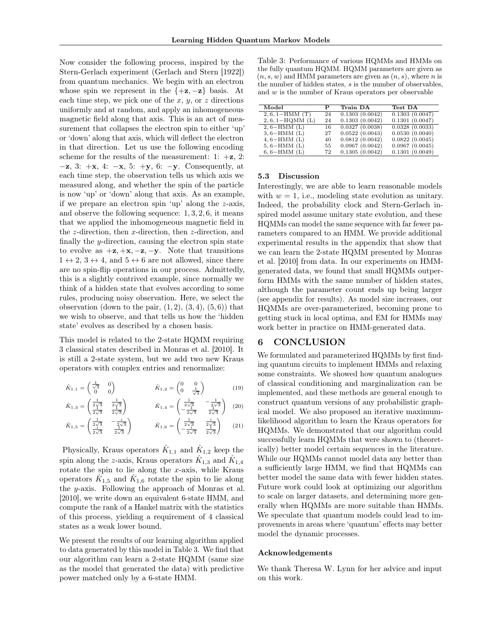Now consider the following process, inspired by the Stern-Gerlach experiment [\(Gerlach and Stern](#page-8-11) [\[1922\]](#page-8-11)) from quantum mechanics. We begin with an electron whose spin we represent in the  $\{+z, -z\}$  basis. At each time step, we pick one of the *x*, *y*, or *z* directions uniformly and at random, and apply an inhomogeneous magnetic field along that axis. This is an act of measurement that collapses the electron spin to either 'up' or 'down' along that axis, which will deflect the electron in that direction. Let us use the following encoding scheme for the results of the measurement: 1:  $+\mathbf{z}$ , 2:  $-z$ , 3:  $+x$ , 4:  $-x$ , 5:  $+y$ , 6:  $-y$ . Consequently, at each time step, the observation tells us which axis we measured along, and whether the spin of the particle is now 'up' or 'down' along that axis. As an example, if we prepare an electron spin 'up' along the *z*-axis, and observe the following sequence: 1*,* 3*,* 2*,* 6, it means that we applied the inhomogeneous magnetic field in the *z*-direction, then *x*-direction, then *z*-direction, and finally the *y*-direction, causing the electron spin state to evolve as  $+z$ ,  $+x$ ,  $-z$ ,  $-y$ . Note that transitions  $1 \leftrightarrow 2$ ,  $3 \leftrightarrow 4$ , and  $5 \leftrightarrow 6$  are not allowed, since there are no spin-flip operations in our process. Admittedly, this is a slightly contrived example, since normally we think of a hidden state that evolves according to some rules, producing noisy observation. Here, we select the observation (down to the pair,  $(1, 2)$ ,  $(3, 4)$ ,  $(5, 6)$ ) that we wish to observe, and that tells us how the 'hidden state' evolves as described by a chosen basis.

This model is related to the 2-state HQMM requiring 3 classical states described in [Monras et al.](#page-8-0) [\[2010\]](#page-8-0). It is still a 2-state system, but we add two new Kraus operators with complex entries and renormalize:

$$
\hat{K}_{1,1} = \begin{pmatrix} \frac{1}{\sqrt{3}} & 0\\ 0 & 0 \end{pmatrix} \qquad \qquad \hat{K}_{1,2} = \begin{pmatrix} 0 & 0\\ 0 & \frac{1}{\sqrt{3}} \end{pmatrix} \qquad (19)
$$

$$
\hat{K}_{1,3} = \begin{pmatrix} \frac{1}{2\sqrt{3}} & \frac{1}{2\sqrt{3}} \\ \frac{1}{2\sqrt{3}} & \frac{1}{2\sqrt{3}} \end{pmatrix} \qquad \qquad \hat{K}_{1,4} = \begin{pmatrix} \frac{1}{2\sqrt{3}} & -\frac{1}{2\sqrt{3}} \\ -\frac{1}{2\sqrt{3}} & \frac{1}{2\sqrt{3}} \end{pmatrix} \tag{20}
$$

$$
\hat{K}_{1,5} = \begin{pmatrix} \frac{1}{2\sqrt{3}} & -\frac{i}{2\sqrt{3}} \\ \frac{1}{2\sqrt{3}} & \frac{1}{2\sqrt{3}} \end{pmatrix} \qquad \hat{K}_{1,6} = \begin{pmatrix} \frac{1}{2\sqrt{3}} & \frac{i}{2\sqrt{3}} \\ -\frac{1}{2\sqrt{3}} & \frac{1}{2\sqrt{3}} \end{pmatrix} \qquad (21)
$$

Physically, Kraus operators  $K_{1,1}$  and  $K_{1,2}$  keep the spin along the *z*-axis, Kraus operators  $K_{1,3}$  and  $K_{1,4}$ rotate the spin to lie along the *x*-axis, while Kraus operators  $K_{1,5}$  and  $K_{1,6}$  rotate the spin to lie along the *y*-axis. Following the approach of [Monras et al.](#page-8-0) [\[2010\]](#page-8-0), we write down an equivalent 6-state HMM, and compute the rank of a Hankel matrix with the statistics of this process, yielding a requirement of 4 classical states as a weak lower bound.

We present the results of our learning algorithm applied to data generated by this model in Table [3.](#page-7-0) We find that our algorithm can learn a 2-state HQMM (same size as the model that generated the data) with predictive power matched only by a 6-state HMM.

<span id="page-7-0"></span>Table 3: Performance of various HQMMs and HMMs on the fully quantum HQMM. HQMM parameters are given as  $(n, s, w)$  and HMM parameters are given as  $(n, s)$ , where *n* is the number of hidden states, *s* is the number of observables, and *w* is the number of Kraus operators per observable

| Model               | Р  | Train DA       | Test DA        |
|---------------------|----|----------------|----------------|
| $2, 6, 1 - HMM$ (T) | 24 | 0.1303(0.0042) | 0.1303(0.0047) |
| $2, 6, 1-HQMM$ (L)  | 24 | 0.1303(0.0042) | 0.1301(0.0047) |
| $2, 6-HMM$ (L)      | 16 | 0.0327(0.0038) | 0.0328(0.0033) |
| $3, 6-HMM$ (L)      | 27 | 0.0522(0.0043) | 0.0530(0.0040) |
| $4, 6-HMM$ (L)      | 40 | 0.0812(0.0042) | 0.0822(0.0045) |
| $5, 6-HMM$ (L)      | 55 | 0.0967(0.0042) | 0.0967(0.0045) |
| $6, 6$ -HMM $(L)$   | 72 | 0.1305(0.0042) | 0.1301(0.0049) |

#### 5.3 Discussion

Interestingly, we are able to learn reasonable models with  $w = 1$ , i.e., modeling state evolution as unitary. Indeed, the probability clock and Stern-Gerlach inspired model assume unitary state evolution, and these HQMMs can model the same sequence with far fewer parameters compared to an HMM. We provide additional experimental results in the appendix that show that we can learn the 2-state HQMM presented by [Monras](#page-8-0) [et al.](#page-8-0) [\[2010\]](#page-8-0) from data. In our experiments on HMMgenerated data, we found that small HQMMs outperform HMMs with the same number of hidden states, although the parameter count ends up being larger (see appendix for results). As model size increases, our HQMMs are over-parameterized, becoming prone to getting stuck in local optima, and EM for HMMs may work better in practice on HMM-generated data.

# 6 CONCLUSION

We formulated and parameterized HQMMs by first finding quantum circuits to implement HMMs and relaxing some constraints. We showed how quantum analogues of classical conditioning and marginalization can be implemented, and these methods are general enough to construct quantum versions of any probabilistic graphical model. We also proposed an iterative maximumlikelihood algorithm to learn the Kraus operators for HQMMs. We demonstrated that our algorithm could successfully learn HQMMs that were shown to (theoretically) better model certain sequences in the literature. While our HQMMs cannot model data any better than a sufficiently large HMM, we find that HQMMs can better model the same data with fewer hidden states. Future work could look at optimizing our algorithm to scale on larger datasets, and determining more generally when HQMMs are more suitable than HMMs. We speculate that quantum models could lead to improvements in areas where 'quantum' effects may better model the dynamic processes.

## Acknowledgements

We thank Theresa W. Lynn for her advice and input on this work.